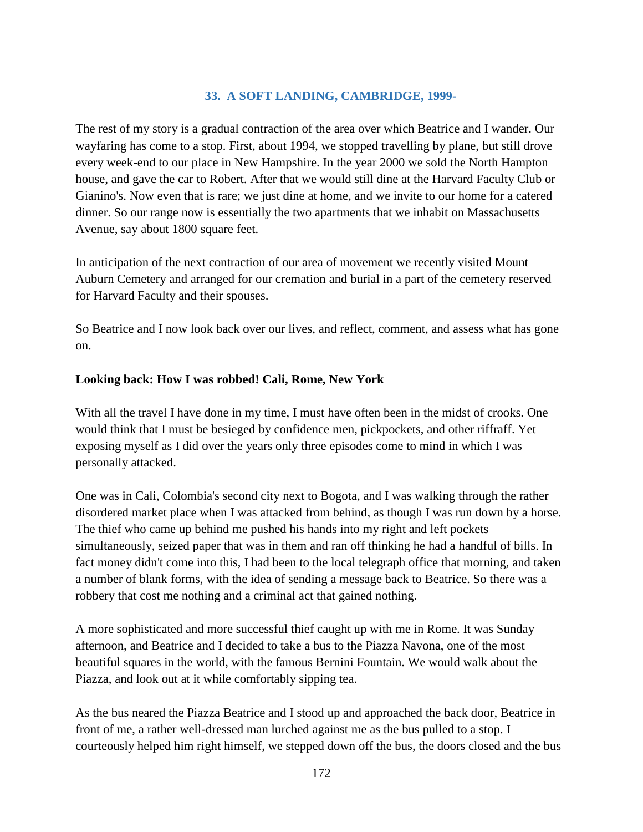# **33. A SOFT LANDING, CAMBRIDGE, 1999-**

The rest of my story is a gradual contraction of the area over which Beatrice and I wander. Our wayfaring has come to a stop. First, about 1994, we stopped travelling by plane, but still drove every week-end to our place in New Hampshire. In the year 2000 we sold the North Hampton house, and gave the car to Robert. After that we would still dine at the Harvard Faculty Club or Gianino's. Now even that is rare; we just dine at home, and we invite to our home for a catered dinner. So our range now is essentially the two apartments that we inhabit on Massachusetts Avenue, say about 1800 square feet.

In anticipation of the next contraction of our area of movement we recently visited Mount Auburn Cemetery and arranged for our cremation and burial in a part of the cemetery reserved for Harvard Faculty and their spouses.

So Beatrice and I now look back over our lives, and reflect, comment, and assess what has gone on.

#### **Looking back: How I was robbed! Cali, Rome, New York**

With all the travel I have done in my time, I must have often been in the midst of crooks. One would think that I must be besieged by confidence men, pickpockets, and other riffraff. Yet exposing myself as I did over the years only three episodes come to mind in which I was personally attacked.

One was in Cali, Colombia's second city next to Bogota, and I was walking through the rather disordered market place when I was attacked from behind, as though I was run down by a horse. The thief who came up behind me pushed his hands into my right and left pockets simultaneously, seized paper that was in them and ran off thinking he had a handful of bills. In fact money didn't come into this, I had been to the local telegraph office that morning, and taken a number of blank forms, with the idea of sending a message back to Beatrice. So there was a robbery that cost me nothing and a criminal act that gained nothing.

A more sophisticated and more successful thief caught up with me in Rome. It was Sunday afternoon, and Beatrice and I decided to take a bus to the Piazza Navona, one of the most beautiful squares in the world, with the famous Bernini Fountain. We would walk about the Piazza, and look out at it while comfortably sipping tea.

As the bus neared the Piazza Beatrice and I stood up and approached the back door, Beatrice in front of me, a rather well-dressed man lurched against me as the bus pulled to a stop. I courteously helped him right himself, we stepped down off the bus, the doors closed and the bus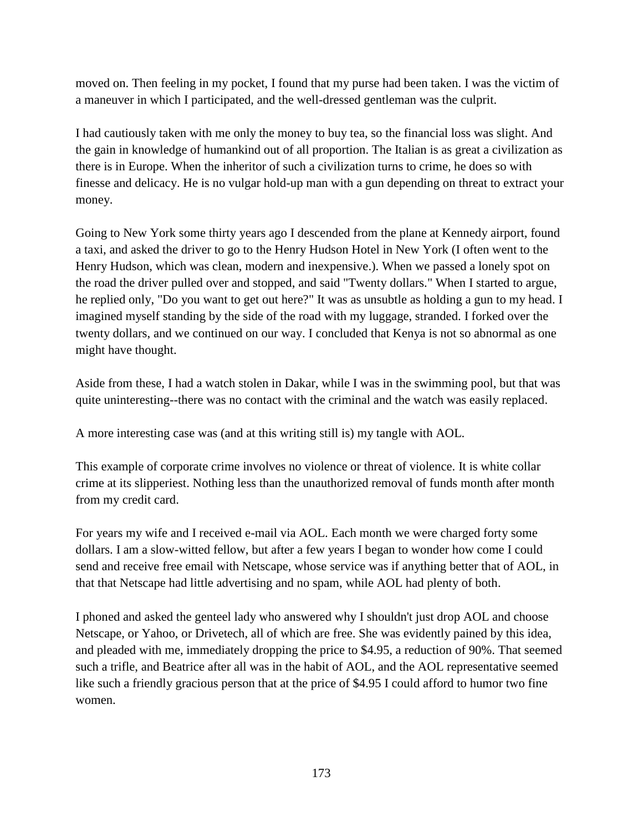moved on. Then feeling in my pocket, I found that my purse had been taken. I was the victim of a maneuver in which I participated, and the well-dressed gentleman was the culprit.

I had cautiously taken with me only the money to buy tea, so the financial loss was slight. And the gain in knowledge of humankind out of all proportion. The Italian is as great a civilization as there is in Europe. When the inheritor of such a civilization turns to crime, he does so with finesse and delicacy. He is no vulgar hold-up man with a gun depending on threat to extract your money.

Going to New York some thirty years ago I descended from the plane at Kennedy airport, found a taxi, and asked the driver to go to the Henry Hudson Hotel in New York (I often went to the Henry Hudson, which was clean, modern and inexpensive.). When we passed a lonely spot on the road the driver pulled over and stopped, and said "Twenty dollars." When I started to argue, he replied only, "Do you want to get out here?" It was as unsubtle as holding a gun to my head. I imagined myself standing by the side of the road with my luggage, stranded. I forked over the twenty dollars, and we continued on our way. I concluded that Kenya is not so abnormal as one might have thought.

Aside from these, I had a watch stolen in Dakar, while I was in the swimming pool, but that was quite uninteresting--there was no contact with the criminal and the watch was easily replaced.

A more interesting case was (and at this writing still is) my tangle with AOL.

This example of corporate crime involves no violence or threat of violence. It is white collar crime at its slipperiest. Nothing less than the unauthorized removal of funds month after month from my credit card.

For years my wife and I received e-mail via AOL. Each month we were charged forty some dollars. I am a slow-witted fellow, but after a few years I began to wonder how come I could send and receive free email with Netscape, whose service was if anything better that of AOL, in that that Netscape had little advertising and no spam, while AOL had plenty of both.

I phoned and asked the genteel lady who answered why I shouldn't just drop AOL and choose Netscape, or Yahoo, or Drivetech, all of which are free. She was evidently pained by this idea, and pleaded with me, immediately dropping the price to \$4.95, a reduction of 90%. That seemed such a trifle, and Beatrice after all was in the habit of AOL, and the AOL representative seemed like such a friendly gracious person that at the price of \$4.95 I could afford to humor two fine women.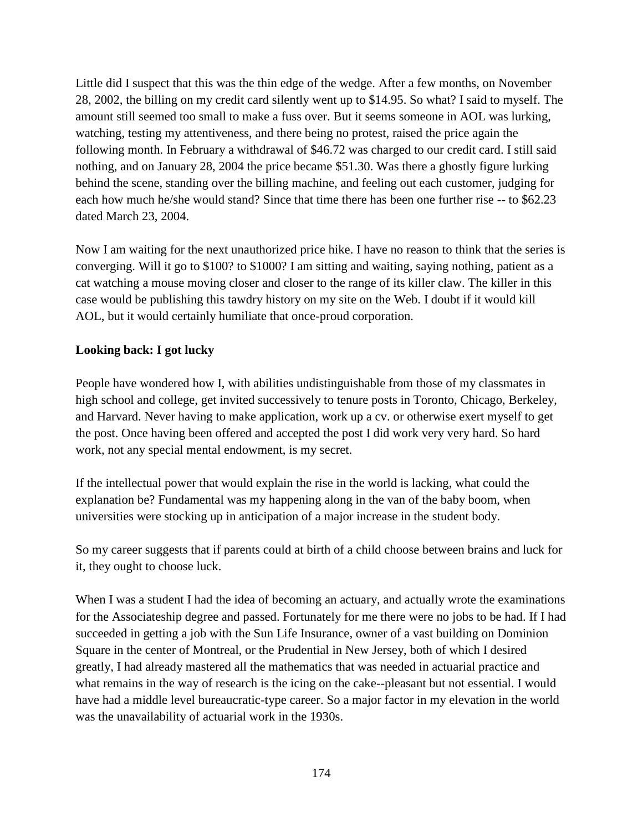Little did I suspect that this was the thin edge of the wedge. After a few months, on November 28, 2002, the billing on my credit card silently went up to \$14.95. So what? I said to myself. The amount still seemed too small to make a fuss over. But it seems someone in AOL was lurking, watching, testing my attentiveness, and there being no protest, raised the price again the following month. In February a withdrawal of \$46.72 was charged to our credit card. I still said nothing, and on January 28, 2004 the price became \$51.30. Was there a ghostly figure lurking behind the scene, standing over the billing machine, and feeling out each customer, judging for each how much he/she would stand? Since that time there has been one further rise -- to \$62.23 dated March 23, 2004.

Now I am waiting for the next unauthorized price hike. I have no reason to think that the series is converging. Will it go to \$100? to \$1000? I am sitting and waiting, saying nothing, patient as a cat watching a mouse moving closer and closer to the range of its killer claw. The killer in this case would be publishing this tawdry history on my site on the Web. I doubt if it would kill AOL, but it would certainly humiliate that once-proud corporation.

### **Looking back: I got lucky**

People have wondered how I, with abilities undistinguishable from those of my classmates in high school and college, get invited successively to tenure posts in Toronto, Chicago, Berkeley, and Harvard. Never having to make application, work up a cv. or otherwise exert myself to get the post. Once having been offered and accepted the post I did work very very hard. So hard work, not any special mental endowment, is my secret.

If the intellectual power that would explain the rise in the world is lacking, what could the explanation be? Fundamental was my happening along in the van of the baby boom, when universities were stocking up in anticipation of a major increase in the student body.

So my career suggests that if parents could at birth of a child choose between brains and luck for it, they ought to choose luck.

When I was a student I had the idea of becoming an actuary, and actually wrote the examinations for the Associateship degree and passed. Fortunately for me there were no jobs to be had. If I had succeeded in getting a job with the Sun Life Insurance, owner of a vast building on Dominion Square in the center of Montreal, or the Prudential in New Jersey, both of which I desired greatly, I had already mastered all the mathematics that was needed in actuarial practice and what remains in the way of research is the icing on the cake--pleasant but not essential. I would have had a middle level bureaucratic-type career. So a major factor in my elevation in the world was the unavailability of actuarial work in the 1930s.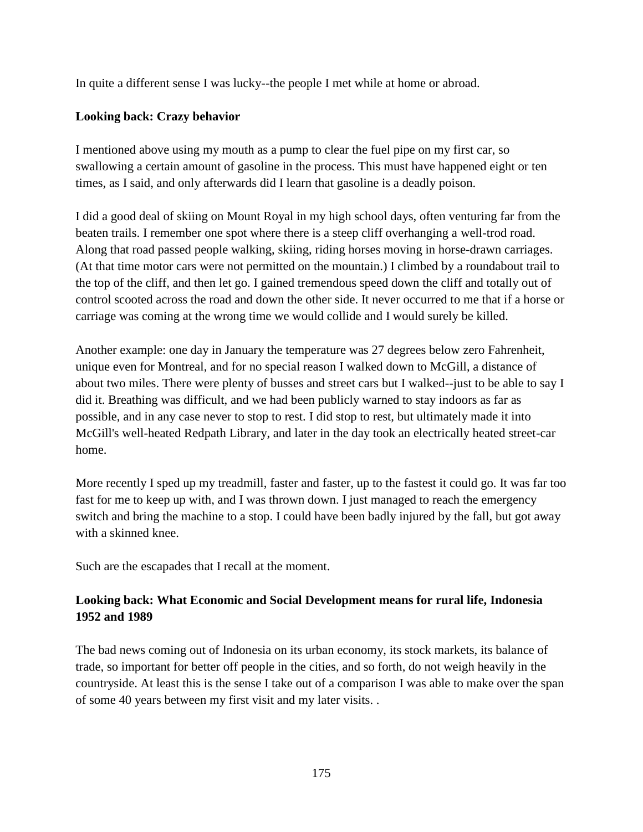In quite a different sense I was lucky--the people I met while at home or abroad.

# **Looking back: Crazy behavior**

I mentioned above using my mouth as a pump to clear the fuel pipe on my first car, so swallowing a certain amount of gasoline in the process. This must have happened eight or ten times, as I said, and only afterwards did I learn that gasoline is a deadly poison.

I did a good deal of skiing on Mount Royal in my high school days, often venturing far from the beaten trails. I remember one spot where there is a steep cliff overhanging a well-trod road. Along that road passed people walking, skiing, riding horses moving in horse-drawn carriages. (At that time motor cars were not permitted on the mountain.) I climbed by a roundabout trail to the top of the cliff, and then let go. I gained tremendous speed down the cliff and totally out of control scooted across the road and down the other side. It never occurred to me that if a horse or carriage was coming at the wrong time we would collide and I would surely be killed.

Another example: one day in January the temperature was 27 degrees below zero Fahrenheit, unique even for Montreal, and for no special reason I walked down to McGill, a distance of about two miles. There were plenty of busses and street cars but I walked--just to be able to say I did it. Breathing was difficult, and we had been publicly warned to stay indoors as far as possible, and in any case never to stop to rest. I did stop to rest, but ultimately made it into McGill's well-heated Redpath Library, and later in the day took an electrically heated street-car home.

More recently I sped up my treadmill, faster and faster, up to the fastest it could go. It was far too fast for me to keep up with, and I was thrown down. I just managed to reach the emergency switch and bring the machine to a stop. I could have been badly injured by the fall, but got away with a skinned knee.

Such are the escapades that I recall at the moment.

# **Looking back: What Economic and Social Development means for rural life, Indonesia 1952 and 1989**

The bad news coming out of Indonesia on its urban economy, its stock markets, its balance of trade, so important for better off people in the cities, and so forth, do not weigh heavily in the countryside. At least this is the sense I take out of a comparison I was able to make over the span of some 40 years between my first visit and my later visits. .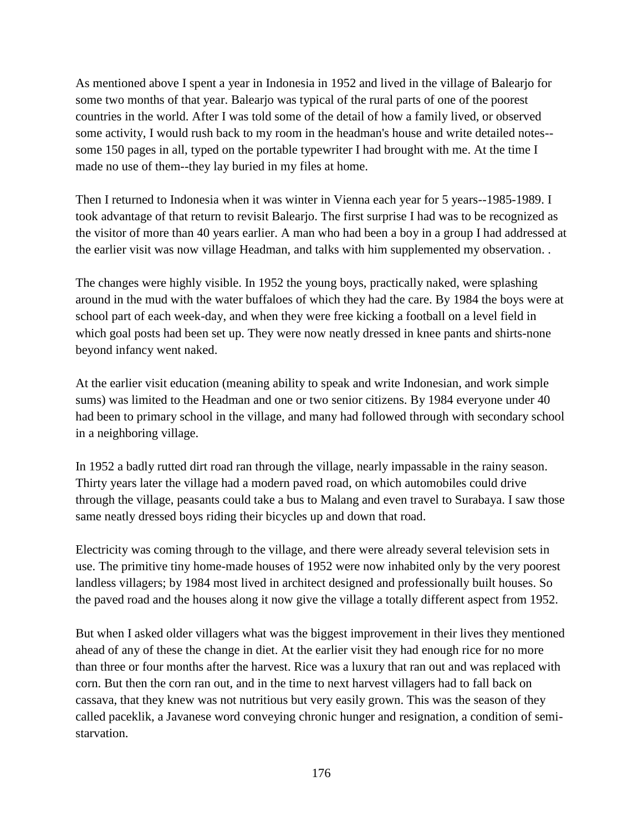As mentioned above I spent a year in Indonesia in 1952 and lived in the village of Balearjo for some two months of that year. Balearjo was typical of the rural parts of one of the poorest countries in the world. After I was told some of the detail of how a family lived, or observed some activity, I would rush back to my room in the headman's house and write detailed notes- some 150 pages in all, typed on the portable typewriter I had brought with me. At the time I made no use of them--they lay buried in my files at home.

Then I returned to Indonesia when it was winter in Vienna each year for 5 years--1985-1989. I took advantage of that return to revisit Balearjo. The first surprise I had was to be recognized as the visitor of more than 40 years earlier. A man who had been a boy in a group I had addressed at the earlier visit was now village Headman, and talks with him supplemented my observation. .

The changes were highly visible. In 1952 the young boys, practically naked, were splashing around in the mud with the water buffaloes of which they had the care. By 1984 the boys were at school part of each week-day, and when they were free kicking a football on a level field in which goal posts had been set up. They were now neatly dressed in knee pants and shirts-none beyond infancy went naked.

At the earlier visit education (meaning ability to speak and write Indonesian, and work simple sums) was limited to the Headman and one or two senior citizens. By 1984 everyone under 40 had been to primary school in the village, and many had followed through with secondary school in a neighboring village.

In 1952 a badly rutted dirt road ran through the village, nearly impassable in the rainy season. Thirty years later the village had a modern paved road, on which automobiles could drive through the village, peasants could take a bus to Malang and even travel to Surabaya. I saw those same neatly dressed boys riding their bicycles up and down that road.

Electricity was coming through to the village, and there were already several television sets in use. The primitive tiny home-made houses of 1952 were now inhabited only by the very poorest landless villagers; by 1984 most lived in architect designed and professionally built houses. So the paved road and the houses along it now give the village a totally different aspect from 1952.

But when I asked older villagers what was the biggest improvement in their lives they mentioned ahead of any of these the change in diet. At the earlier visit they had enough rice for no more than three or four months after the harvest. Rice was a luxury that ran out and was replaced with corn. But then the corn ran out, and in the time to next harvest villagers had to fall back on cassava, that they knew was not nutritious but very easily grown. This was the season of they called paceklik, a Javanese word conveying chronic hunger and resignation, a condition of semistarvation.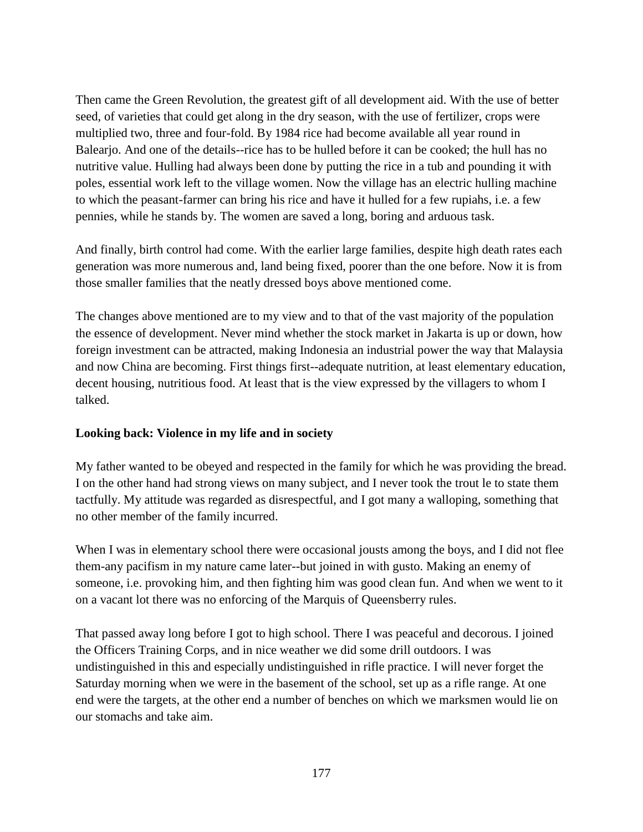Then came the Green Revolution, the greatest gift of all development aid. With the use of better seed, of varieties that could get along in the dry season, with the use of fertilizer, crops were multiplied two, three and four-fold. By 1984 rice had become available all year round in Balearjo. And one of the details--rice has to be hulled before it can be cooked; the hull has no nutritive value. Hulling had always been done by putting the rice in a tub and pounding it with poles, essential work left to the village women. Now the village has an electric hulling machine to which the peasant-farmer can bring his rice and have it hulled for a few rupiahs, i.e. a few pennies, while he stands by. The women are saved a long, boring and arduous task.

And finally, birth control had come. With the earlier large families, despite high death rates each generation was more numerous and, land being fixed, poorer than the one before. Now it is from those smaller families that the neatly dressed boys above mentioned come.

The changes above mentioned are to my view and to that of the vast majority of the population the essence of development. Never mind whether the stock market in Jakarta is up or down, how foreign investment can be attracted, making Indonesia an industrial power the way that Malaysia and now China are becoming. First things first--adequate nutrition, at least elementary education, decent housing, nutritious food. At least that is the view expressed by the villagers to whom I talked.

### **Looking back: Violence in my life and in society**

My father wanted to be obeyed and respected in the family for which he was providing the bread. I on the other hand had strong views on many subject, and I never took the trout le to state them tactfully. My attitude was regarded as disrespectful, and I got many a walloping, something that no other member of the family incurred.

When I was in elementary school there were occasional jousts among the boys, and I did not flee them-any pacifism in my nature came later--but joined in with gusto. Making an enemy of someone, i.e. provoking him, and then fighting him was good clean fun. And when we went to it on a vacant lot there was no enforcing of the Marquis of Queensberry rules.

That passed away long before I got to high school. There I was peaceful and decorous. I joined the Officers Training Corps, and in nice weather we did some drill outdoors. I was undistinguished in this and especially undistinguished in rifle practice. I will never forget the Saturday morning when we were in the basement of the school, set up as a rifle range. At one end were the targets, at the other end a number of benches on which we marksmen would lie on our stomachs and take aim.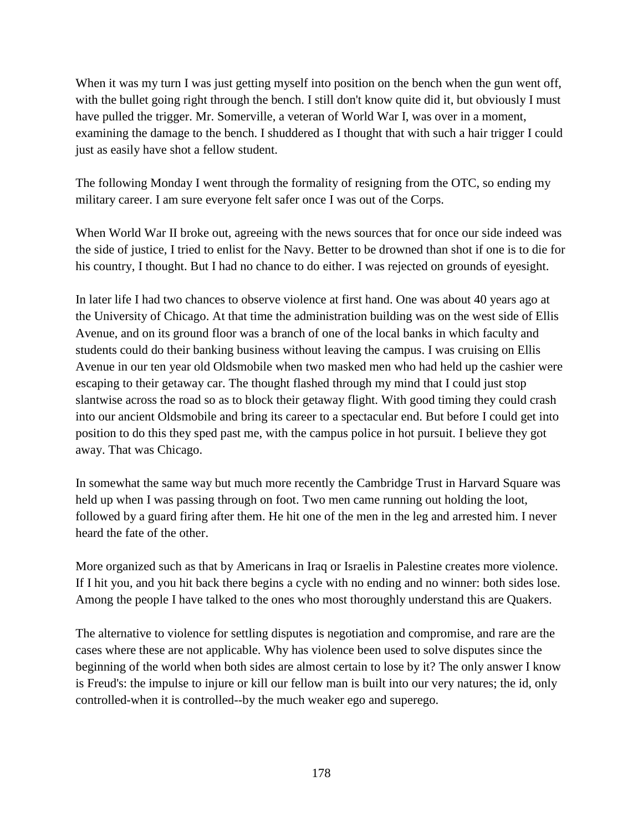When it was my turn I was just getting myself into position on the bench when the gun went off, with the bullet going right through the bench. I still don't know quite did it, but obviously I must have pulled the trigger. Mr. Somerville, a veteran of World War I, was over in a moment, examining the damage to the bench. I shuddered as I thought that with such a hair trigger I could just as easily have shot a fellow student.

The following Monday I went through the formality of resigning from the OTC, so ending my military career. I am sure everyone felt safer once I was out of the Corps.

When World War II broke out, agreeing with the news sources that for once our side indeed was the side of justice, I tried to enlist for the Navy. Better to be drowned than shot if one is to die for his country, I thought. But I had no chance to do either. I was rejected on grounds of eyesight.

In later life I had two chances to observe violence at first hand. One was about 40 years ago at the University of Chicago. At that time the administration building was on the west side of Ellis Avenue, and on its ground floor was a branch of one of the local banks in which faculty and students could do their banking business without leaving the campus. I was cruising on Ellis Avenue in our ten year old Oldsmobile when two masked men who had held up the cashier were escaping to their getaway car. The thought flashed through my mind that I could just stop slantwise across the road so as to block their getaway flight. With good timing they could crash into our ancient Oldsmobile and bring its career to a spectacular end. But before I could get into position to do this they sped past me, with the campus police in hot pursuit. I believe they got away. That was Chicago.

In somewhat the same way but much more recently the Cambridge Trust in Harvard Square was held up when I was passing through on foot. Two men came running out holding the loot, followed by a guard firing after them. He hit one of the men in the leg and arrested him. I never heard the fate of the other.

More organized such as that by Americans in Iraq or Israelis in Palestine creates more violence. If I hit you, and you hit back there begins a cycle with no ending and no winner: both sides lose. Among the people I have talked to the ones who most thoroughly understand this are Quakers.

The alternative to violence for settling disputes is negotiation and compromise, and rare are the cases where these are not applicable. Why has violence been used to solve disputes since the beginning of the world when both sides are almost certain to lose by it? The only answer I know is Freud's: the impulse to injure or kill our fellow man is built into our very natures; the id, only controlled-when it is controlled--by the much weaker ego and superego.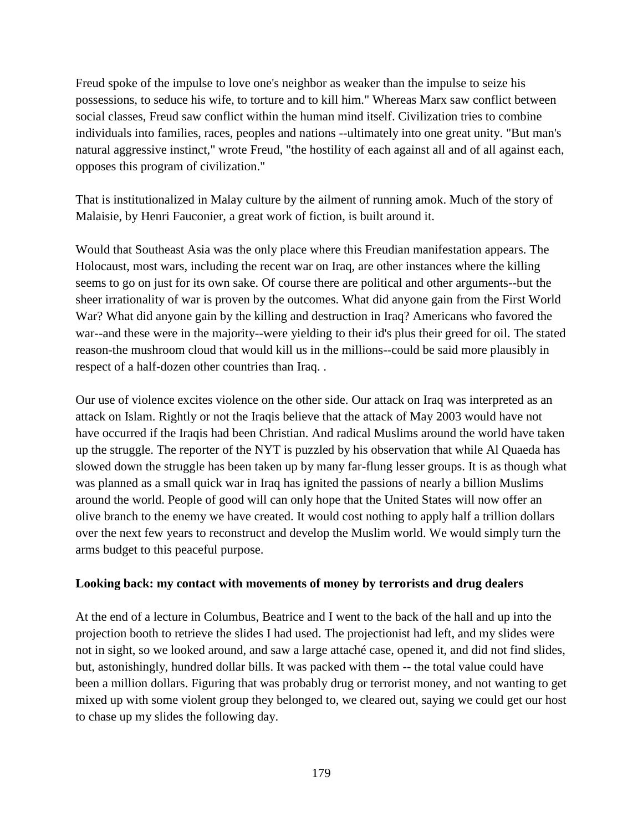Freud spoke of the impulse to love one's neighbor as weaker than the impulse to seize his possessions, to seduce his wife, to torture and to kill him." Whereas Marx saw conflict between social classes, Freud saw conflict within the human mind itself. Civilization tries to combine individuals into families, races, peoples and nations --ultimately into one great unity. "But man's natural aggressive instinct," wrote Freud, "the hostility of each against all and of all against each, opposes this program of civilization."

That is institutionalized in Malay culture by the ailment of running amok. Much of the story of Malaisie, by Henri Fauconier, a great work of fiction, is built around it.

Would that Southeast Asia was the only place where this Freudian manifestation appears. The Holocaust, most wars, including the recent war on Iraq, are other instances where the killing seems to go on just for its own sake. Of course there are political and other arguments--but the sheer irrationality of war is proven by the outcomes. What did anyone gain from the First World War? What did anyone gain by the killing and destruction in Iraq? Americans who favored the war--and these were in the majority--were yielding to their id's plus their greed for oil. The stated reason-the mushroom cloud that would kill us in the millions--could be said more plausibly in respect of a half-dozen other countries than Iraq. .

Our use of violence excites violence on the other side. Our attack on Iraq was interpreted as an attack on Islam. Rightly or not the Iraqis believe that the attack of May 2003 would have not have occurred if the Iraqis had been Christian. And radical Muslims around the world have taken up the struggle. The reporter of the NYT is puzzled by his observation that while Al Quaeda has slowed down the struggle has been taken up by many far-flung lesser groups. It is as though what was planned as a small quick war in Iraq has ignited the passions of nearly a billion Muslims around the world. People of good will can only hope that the United States will now offer an olive branch to the enemy we have created. It would cost nothing to apply half a trillion dollars over the next few years to reconstruct and develop the Muslim world. We would simply turn the arms budget to this peaceful purpose.

### **Looking back: my contact with movements of money by terrorists and drug dealers**

At the end of a lecture in Columbus, Beatrice and I went to the back of the hall and up into the projection booth to retrieve the slides I had used. The projectionist had left, and my slides were not in sight, so we looked around, and saw a large attaché case, opened it, and did not find slides, but, astonishingly, hundred dollar bills. It was packed with them -- the total value could have been a million dollars. Figuring that was probably drug or terrorist money, and not wanting to get mixed up with some violent group they belonged to, we cleared out, saying we could get our host to chase up my slides the following day.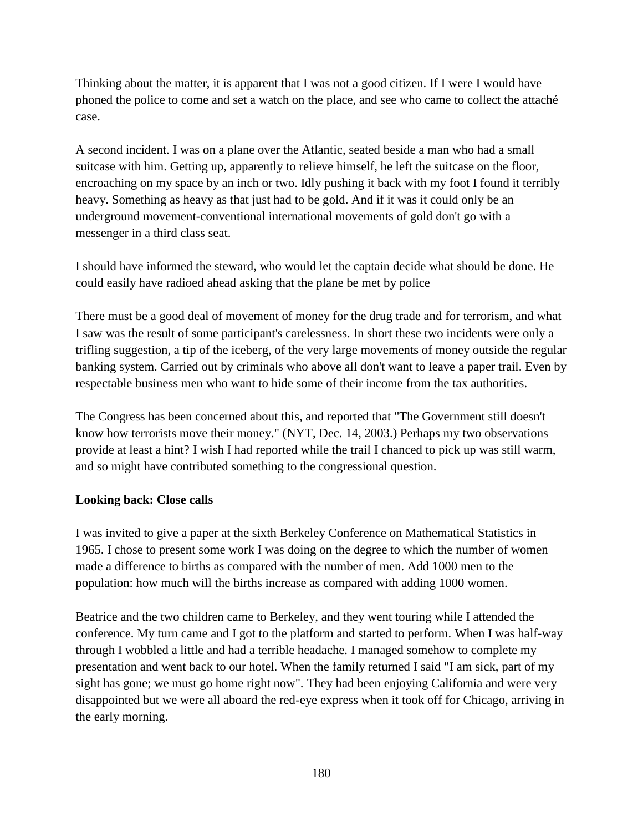Thinking about the matter, it is apparent that I was not a good citizen. If I were I would have phoned the police to come and set a watch on the place, and see who came to collect the attaché case.

A second incident. I was on a plane over the Atlantic, seated beside a man who had a small suitcase with him. Getting up, apparently to relieve himself, he left the suitcase on the floor, encroaching on my space by an inch or two. Idly pushing it back with my foot I found it terribly heavy. Something as heavy as that just had to be gold. And if it was it could only be an underground movement-conventional international movements of gold don't go with a messenger in a third class seat.

I should have informed the steward, who would let the captain decide what should be done. He could easily have radioed ahead asking that the plane be met by police

There must be a good deal of movement of money for the drug trade and for terrorism, and what I saw was the result of some participant's carelessness. In short these two incidents were only a trifling suggestion, a tip of the iceberg, of the very large movements of money outside the regular banking system. Carried out by criminals who above all don't want to leave a paper trail. Even by respectable business men who want to hide some of their income from the tax authorities.

The Congress has been concerned about this, and reported that "The Government still doesn't know how terrorists move their money." (NYT, Dec. 14, 2003.) Perhaps my two observations provide at least a hint? I wish I had reported while the trail I chanced to pick up was still warm, and so might have contributed something to the congressional question.

### **Looking back: Close calls**

I was invited to give a paper at the sixth Berkeley Conference on Mathematical Statistics in 1965. I chose to present some work I was doing on the degree to which the number of women made a difference to births as compared with the number of men. Add 1000 men to the population: how much will the births increase as compared with adding 1000 women.

Beatrice and the two children came to Berkeley, and they went touring while I attended the conference. My turn came and I got to the platform and started to perform. When I was half-way through I wobbled a little and had a terrible headache. I managed somehow to complete my presentation and went back to our hotel. When the family returned I said "I am sick, part of my sight has gone; we must go home right now". They had been enjoying California and were very disappointed but we were all aboard the red-eye express when it took off for Chicago, arriving in the early morning.